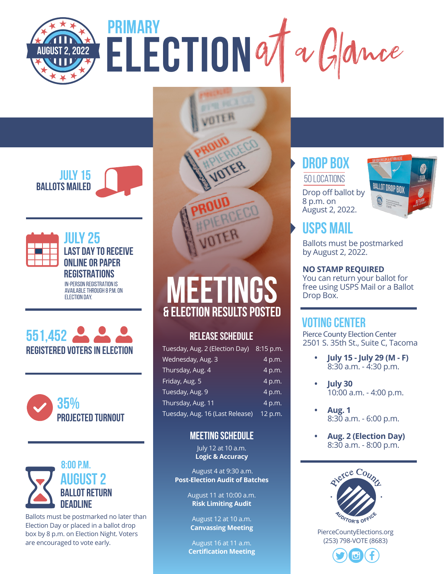# $\frac{1}{2}$ **PRIMARY**













Ballots must be postmarked no later than Election Day or placed in a ballot drop box by 8 p.m. on Election Night. Voters are encouraged to vote early.

# **MEETINGS**

#### **& ELECTION RESULTS POSTED**

#### **RELEASE SCHEDULE**

| Tuesday, Aug. 2 (Election Day) 8:15 p.m. |         |
|------------------------------------------|---------|
| Wednesday, Aug. 3                        | 4 p.m.  |
| Thursday, Aug. 4                         | 4 p.m.  |
| Friday, Aug. 5                           | 4 p.m.  |
| Tuesday, Aug. 9                          | 4 p.m.  |
| Thursday, Aug. 11                        | 4 p.m.  |
| Tuesday, Aug. 16 (Last Release)          | 12 p.m. |

#### **MEETING SCHEDULE**

July 12 at 10 a.m. **Logic & Accuracy**

August 4 at 9:30 a.m. **Post-Election Audit of Batches**

> August 11 at 10:00 a.m. **Risk Limiting Audit**

August 12 at 10 a.m. **Canvassing Meeting**

August 16 at 11 a.m. **Certification Meeting**

#### **DROP BOX**

Drop off ballot by 50 locations

8 p.m. on



#### **USPS MAIL**

Ballots must be postmarked by August 2, 2022.

#### **NO STAMP REQUIRED**

You can return your ballot for free using USPS Mail or a Ballot Drop Box.

#### **VOTING CENTER**

Pierce County Election Center 2501 S. 35th St., Suite C, Tacoma

- **• July 15 July 29 (M F)**  8:30 a.m. - 4:30 p.m.
- **• July 30**  10:00 a.m. - 4:00 p.m.
- **• Aug. 1** 8:30 a.m. - 6:00 p.m.
- **• Aug. 2 (Election Day)**  8:30 a.m. - 8:00 p.m.



PierceCountyElections.org (253) 798-VOTE (8683)